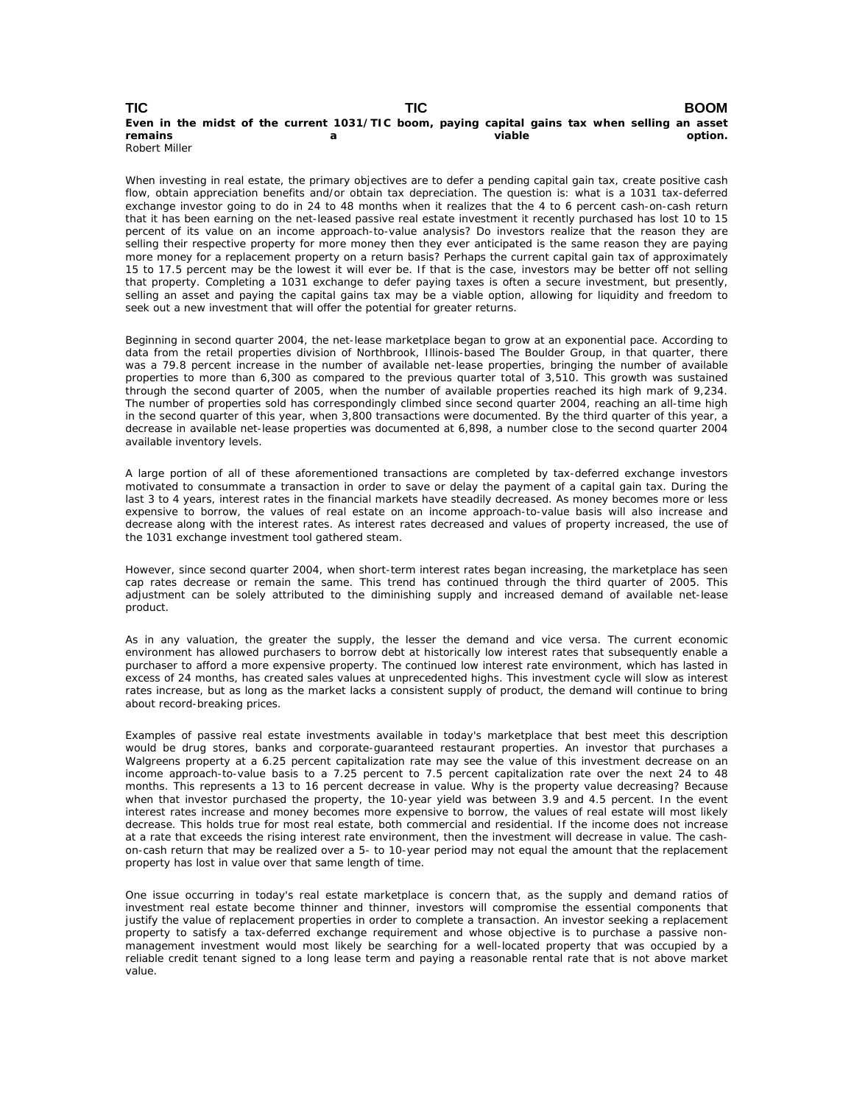## **TIC TIC BOOM Even in the midst of the current 1031/TIC boom, paying capital gains tax when selling an asset remains a viable option.** Robert Miller

When investing in real estate, the primary objectives are to defer a pending capital gain tax, create positive cash flow, obtain appreciation benefits and/or obtain tax depreciation. The question is: what is a 1031 tax-deferred exchange investor going to do in 24 to 48 months when it realizes that the 4 to 6 percent cash-on-cash return that it has been earning on the net-leased passive real estate investment it recently purchased has lost 10 to 15 percent of its value on an income approach-to-value analysis? Do investors realize that the reason they are selling their respective property for more money then they ever anticipated is the same reason they are paying more money for a replacement property on a return basis? Perhaps the current capital gain tax of approximately 15 to 17.5 percent may be the lowest it will ever be. If that is the case, investors may be better off not selling that property. Completing a 1031 exchange to defer paying taxes is often a secure investment, but presently, selling an asset and paying the capital gains tax may be a viable option, allowing for liquidity and freedom to seek out a new investment that will offer the potential for greater returns.

Beginning in second quarter 2004, the net-lease marketplace began to grow at an exponential pace. According to data from the retail properties division of Northbrook, Illinois-based The Boulder Group, in that quarter, there was a 79.8 percent increase in the number of available net-lease properties, bringing the number of available properties to more than 6,300 as compared to the previous quarter total of 3,510. This growth was sustained through the second quarter of 2005, when the number of available properties reached its high mark of 9,234. The number of properties sold has correspondingly climbed since second quarter 2004, reaching an all-time high in the second quarter of this year, when 3,800 transactions were documented. By the third quarter of this year, a decrease in available net-lease properties was documented at 6,898, a number close to the second quarter 2004 available inventory levels.

A large portion of all of these aforementioned transactions are completed by tax-deferred exchange investors motivated to consummate a transaction in order to save or delay the payment of a capital gain tax. During the last 3 to 4 years, interest rates in the financial markets have steadily decreased. As money becomes more or less expensive to borrow, the values of real estate on an income approach-to-value basis will also increase and decrease along with the interest rates. As interest rates decreased and values of property increased, the use of the 1031 exchange investment tool gathered steam.

However, since second quarter 2004, when short-term interest rates began increasing, the marketplace has seen cap rates decrease or remain the same. This trend has continued through the third quarter of 2005. This adjustment can be solely attributed to the diminishing supply and increased demand of available net-lease product.

As in any valuation, the greater the supply, the lesser the demand and vice versa. The current economic environment has allowed purchasers to borrow debt at historically low interest rates that subsequently enable a purchaser to afford a more expensive property. The continued low interest rate environment, which has lasted in excess of 24 months, has created sales values at unprecedented highs. This investment cycle will slow as interest rates increase, but as long as the market lacks a consistent supply of product, the demand will continue to bring about record-breaking prices.

Examples of passive real estate investments available in today's marketplace that best meet this description would be drug stores, banks and corporate-guaranteed restaurant properties. An investor that purchases a Walgreens property at a 6.25 percent capitalization rate may see the value of this investment decrease on an income approach-to-value basis to a 7.25 percent to 7.5 percent capitalization rate over the next 24 to 48 months. This represents a 13 to 16 percent decrease in value. Why is the property value decreasing? Because when that investor purchased the property, the 10-year yield was between 3.9 and 4.5 percent. In the event interest rates increase and money becomes more expensive to borrow, the values of real estate will most likely decrease. This holds true for most real estate, both commercial and residential. If the income does not increase at a rate that exceeds the rising interest rate environment, then the investment will decrease in value. The cashon-cash return that may be realized over a 5- to 10-year period may not equal the amount that the replacement property has lost in value over that same length of time.

One issue occurring in today's real estate marketplace is concern that, as the supply and demand ratios of investment real estate become thinner and thinner, investors will compromise the essential components that justify the value of replacement properties in order to complete a transaction. An investor seeking a replacement property to satisfy a tax-deferred exchange requirement and whose objective is to purchase a passive nonmanagement investment would most likely be searching for a well-located property that was occupied by a reliable credit tenant signed to a long lease term and paying a reasonable rental rate that is not above market value.